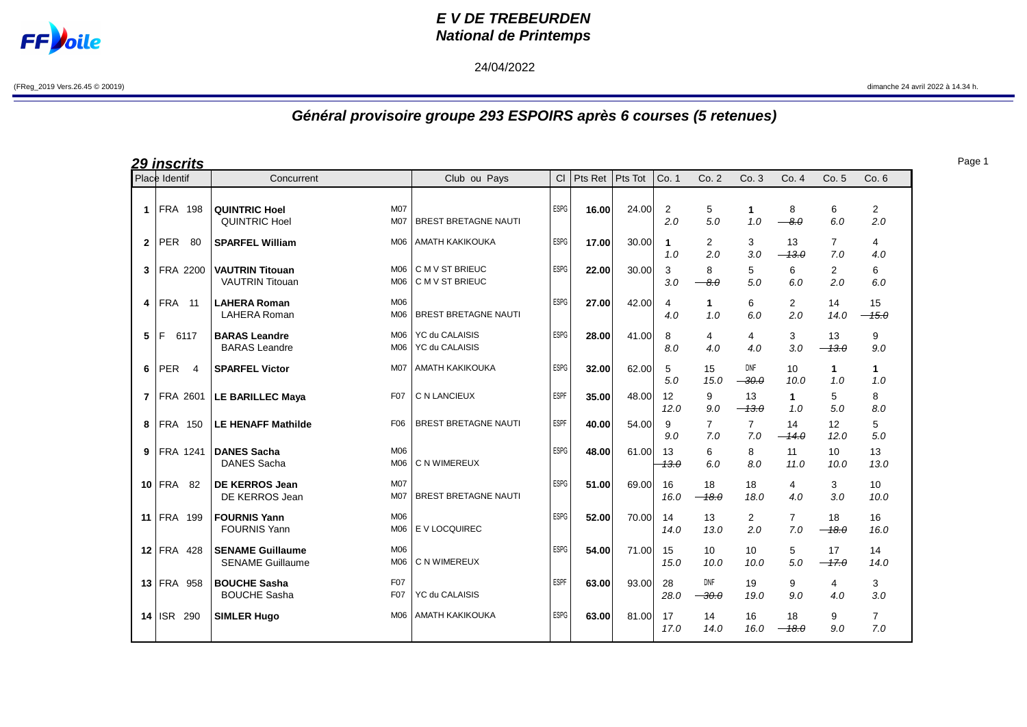

## **E V DE TREBEURDEN National de Printemps**

## 24/04/2022

## **Général provisoire groupe 293 ESPOIRS après 6 courses (5 retenues)**

| <u> 29 inscrits</u> |                 |                                                                                   |                                         |             |         |         |                       |                       |                                  |                       |                       |                       |
|---------------------|-----------------|-----------------------------------------------------------------------------------|-----------------------------------------|-------------|---------|---------|-----------------------|-----------------------|----------------------------------|-----------------------|-----------------------|-----------------------|
|                     | Place Identif   | Concurrent                                                                        | Club ou Pays                            | CI          | Pts Ret | Pts Tot | Co. 1                 | Co.2                  | Co.3                             | Co. 4                 | Co. 5                 | Co.6                  |
| 1                   | <b>FRA 198</b>  | <b>M07</b><br><b>QUINTRIC Hoel</b><br><b>QUINTRIC Hoel</b><br>M07                 | <b>BREST BRETAGNE NAUTI</b>             | ESPG        | 16.00   | 24.00   | $\overline{2}$<br>2.0 | 5<br>5.0              | 1<br>1.0                         | 8<br>$-8.0$           | 6<br>6.0              | $\overline{2}$<br>2.0 |
| $\mathbf{2}$        | PER<br>-80      | M06<br><b>SPARFEL William</b>                                                     | <b>AMATH KAKIKOUKA</b>                  | <b>ESPG</b> | 17.00   | 30.00   | 1<br>1.0              | 2<br>2.0              | 3<br>3.0                         | 13<br>$-13.0$         | $\overline{7}$<br>7.0 | 4<br>4.0              |
| 3                   | FRA 2200        | <b>VAUTRIN Titouan</b><br>M06<br><b>VAUTRIN Titouan</b><br>M06                    | C M V ST BRIEUC<br>C M V ST BRIEUC      | <b>ESPG</b> | 22.00   | 30.00   | 3<br>3.0              | 8<br>$-8.0$           | 5<br>5.0                         | 6<br>6.0              | 2<br>2.0              | 6<br>6.0              |
| 4                   | <b>FRA</b> 11   | M06<br><b>LAHERA Roman</b><br><b>LAHERA Roman</b><br>M06                          | <b>BREST BRETAGNE NAUTI</b>             | ESPG        | 27.00   | 42.00   | 4<br>4.0              | $\mathbf{1}$<br>1.0   | 6<br>6.0                         | $\overline{2}$<br>2.0 | 14<br>14.0            | 15<br>$-45.0$         |
| 5                   | E<br>6117       | <b>BARAS Leandre</b><br>M06<br><b>BARAS</b> Leandre<br>M06                        | <b>YC du CALAISIS</b><br>YC du CALAISIS | <b>ESPG</b> | 28.00   | 41.00   | 8<br>8.0              | 4<br>4.0              | 4<br>4.0                         | 3<br>3.0              | 13<br>$-13.0$         | 9<br>9.0              |
| 6                   | PER<br>4        | <b>SPARFEL Victor</b><br><b>M07</b>                                               | <b>AMATH KAKIKOUKA</b>                  | <b>ESPG</b> | 32.00   | 62.00   | 5<br>5.0              | 15<br>15.0            | <b>DNF</b><br>$\rightarrow 30.0$ | 10<br>10.0            | $\mathbf{1}$<br>1.0   | $\mathbf{1}$<br>1.0   |
| $\mathbf{7}$        | <b>FRA 2601</b> | <b>LE BARILLEC Maya</b><br>F <sub>07</sub>                                        | C N LANCIEUX                            | <b>ESPF</b> | 35.00   | 48.00   | 12<br>12.0            | 9<br>9.0              | 13<br>$-13.0$                    | $\mathbf 1$<br>1.0    | 5<br>5.0              | 8<br>8.0              |
| 8                   | <b>FRA 150</b>  | F <sub>06</sub><br><b>LE HENAFF Mathilde</b>                                      | <b>BREST BRETAGNE NAUTI</b>             | <b>ESPF</b> | 40.00   | 54.00   | 9<br>9.0              | $\overline{7}$<br>7.0 | $\overline{7}$<br>7.0            | 14<br>$-14.0$         | 12<br>12.0            | 5<br>5.0              |
| 9                   | <b>FRA 1241</b> | <b>DANES Sacha</b><br>M06<br><b>DANES Sacha</b><br>M06                            | C N WIMEREUX                            | <b>ESPG</b> | 48.00   | 61.00   | 13<br>$-13.0$         | 6<br>6.0              | 8<br>8.0                         | 11<br>11.0            | 10<br>10.0            | 13<br>13.0            |
|                     | $10$ FRA 82     | <b>M07</b><br><b>DE KERROS Jean</b><br>DE KERROS Jean<br><b>M07</b>               | <b>BREST BRETAGNE NAUTI</b>             | ESPG        | 51.00   | 69.00   | 16<br>16.0            | 18<br>$-18.0$         | 18<br>18.0                       | 4<br>4.0              | 3<br>3.0              | 10<br>10.0            |
| 11                  | FRA 199         | <b>FOURNIS Yann</b><br>M06<br><b>FOURNIS Yann</b><br>M06                          | E V LOCQUIREC                           | <b>ESPG</b> | 52.00   | 70.00   | 14<br>14.0            | 13<br>13.0            | $\overline{2}$<br>2.0            | $\overline{7}$<br>7.0 | 18<br>$-18.0$         | 16<br>16.0            |
|                     | $12$ FRA 428    | M06<br><b>SENAME Guillaume</b><br><b>SENAME Guillaume</b><br>M <sub>06</sub>      | C N WIMEREUX                            | <b>ESPG</b> | 54.00   | 71.00   | 15<br>15.0            | 10<br>10.0            | 10<br>10.0                       | 5<br>5.0              | 17<br>$-47.0$         | 14<br>14.0            |
|                     | 13 FRA 958      | F <sub>07</sub><br><b>BOUCHE Sasha</b><br><b>BOUCHE Sasha</b><br>F <sub>0</sub> 7 | YC du CALAISIS                          | <b>ESPF</b> | 63.00   | 93.00   | 28<br>28.0            | <b>DNF</b><br>$-30.0$ | 19<br>19.0                       | 9<br>9.0              | 4<br>4.0              | 3<br>3.0              |
|                     | 14 ISR 290      | <b>SIMLER Hugo</b><br>M06                                                         | AMATH KAKIKOUKA                         | <b>ESPG</b> | 63.00   | 81.00   | 17<br>17.0            | 14<br>14.0            | 16<br>16.0                       | 18<br>$-18.0$         | 9<br>9.0              | $\overline{7}$<br>7.0 |

Page 1